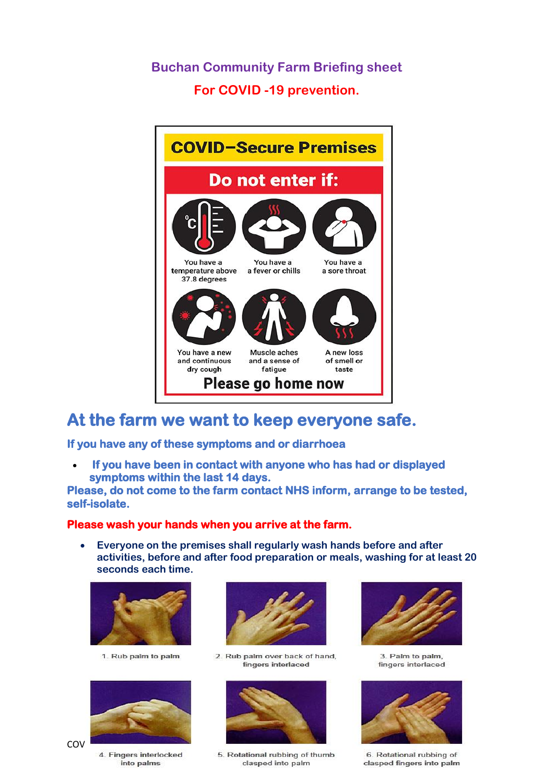### **Buchan Community Farm Briefing sheet For COVID -19 prevention.**



## **At the farm we want to keep everyone safe.**

**If you have any of these symptoms and or diarrhoea** 

• **If you have been in contact with anyone who has had or displayed symptoms within the last 14 days.**

**Please, do not come to the farm contact NHS inform, arrange to be tested, self-isolate.** 

#### **Please wash your hands when you arrive at the farm.**

• **Everyone on the premises shall regularly wash hands before and after activities, before and after food preparation or meals, washing for at least 20 seconds each time.**



1. Rub palm to palm



4. Fingers interlocked into palms



2. Rub palm over back of hand. fingers interlaced



5. Rotational rubbing of thumb clasped into palm



3. Palm to palm. fingers interlaced



6. Rotational rubbing of clasped fingers into palm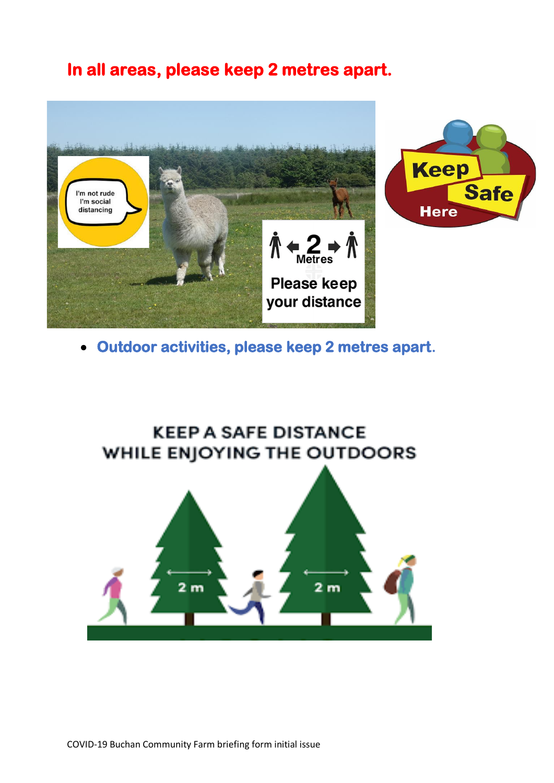## **In all areas, please keep 2 metres apart.**





• **Outdoor activities, please keep 2 metres apart.**

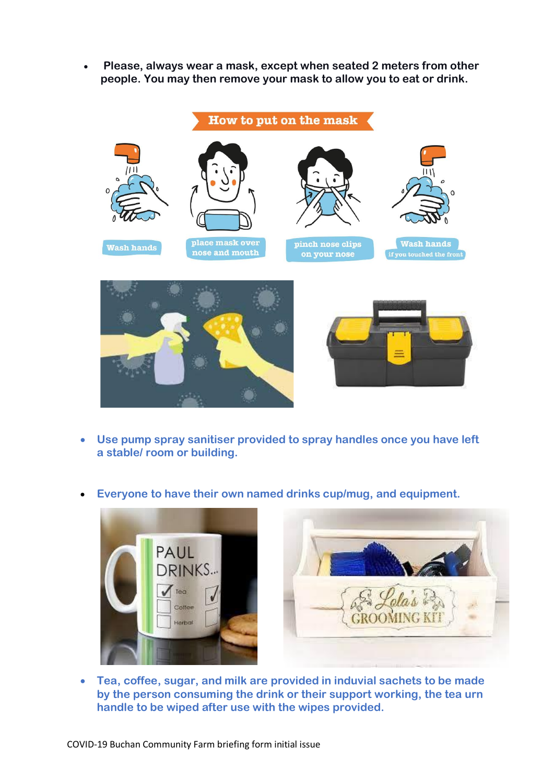• **Please, always wear a mask, except when seated 2 meters from other people. You may then remove your mask to allow you to eat or drink.**



- **Use pump spray sanitiser provided to spray handles once you have left a stable/ room or building.**
- **Everyone to have their own named drinks cup/mug, and equipment.**





• **Tea, coffee, sugar, and milk are provided in induvial sachets to be made by the person consuming the drink or their support working, the tea urn handle to be wiped after use with the wipes provided.**